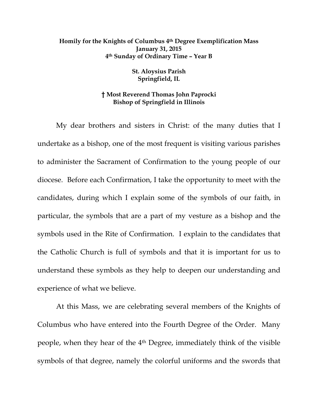## **Homily for the Knights of Columbus 4th Degree Exemplification Mass January 31, 2015 4th Sunday of Ordinary Time – Year B**

**St. Aloysius Parish Springfield, IL** 

## **† Most Reverend Thomas John Paprocki Bishop of Springfield in Illinois**

My dear brothers and sisters in Christ: of the many duties that I undertake as a bishop, one of the most frequent is visiting various parishes to administer the Sacrament of Confirmation to the young people of our diocese. Before each Confirmation, I take the opportunity to meet with the candidates, during which I explain some of the symbols of our faith, in particular, the symbols that are a part of my vesture as a bishop and the symbols used in the Rite of Confirmation. I explain to the candidates that the Catholic Church is full of symbols and that it is important for us to understand these symbols as they help to deepen our understanding and experience of what we believe.

At this Mass, we are celebrating several members of the Knights of Columbus who have entered into the Fourth Degree of the Order. Many people, when they hear of the 4th Degree, immediately think of the visible symbols of that degree, namely the colorful uniforms and the swords that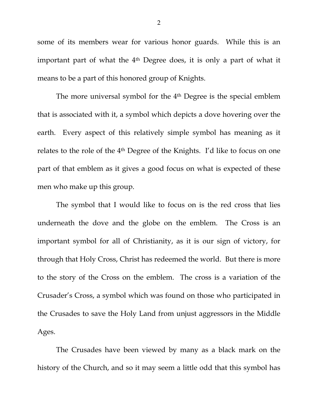some of its members wear for various honor guards. While this is an important part of what the 4<sup>th</sup> Degree does, it is only a part of what it means to be a part of this honored group of Knights.

The more universal symbol for the 4<sup>th</sup> Degree is the special emblem that is associated with it, a symbol which depicts a dove hovering over the earth. Every aspect of this relatively simple symbol has meaning as it relates to the role of the 4th Degree of the Knights. I'd like to focus on one part of that emblem as it gives a good focus on what is expected of these men who make up this group.

The symbol that I would like to focus on is the red cross that lies underneath the dove and the globe on the emblem. The Cross is an important symbol for all of Christianity, as it is our sign of victory, for through that Holy Cross, Christ has redeemed the world. But there is more to the story of the Cross on the emblem. The cross is a variation of the Crusader's Cross, a symbol which was found on those who participated in the Crusades to save the Holy Land from unjust aggressors in the Middle Ages.

The Crusades have been viewed by many as a black mark on the history of the Church, and so it may seem a little odd that this symbol has

2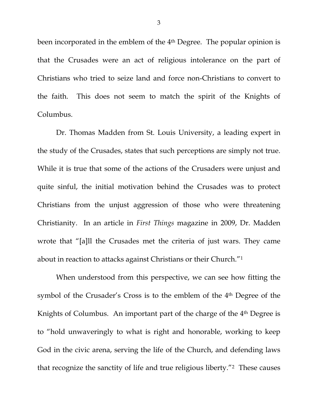been incorporated in the emblem of the 4<sup>th</sup> Degree. The popular opinion is that the Crusades were an act of religious intolerance on the part of Christians who tried to seize land and force non-Christians to convert to the faith. This does not seem to match the spirit of the Knights of Columbus.

Dr. Thomas Madden from St. Louis University, a leading expert in the study of the Crusades, states that such perceptions are simply not true. While it is true that some of the actions of the Crusaders were unjust and quite sinful, the initial motivation behind the Crusades was to protect Christians from the unjust aggression of those who were threatening Christianity. In an article in *First Things* magazine in 2009, Dr. Madden wrote that "[a]ll the Crusades met the criteria of just wars. They came about in reaction to attacks against Christians or their Church."1

When understood from this perspective, we can see how fitting the symbol of the Crusader's Cross is to the emblem of the 4<sup>th</sup> Degree of the Knights of Columbus. An important part of the charge of the 4<sup>th</sup> Degree is to "hold unwaveringly to what is right and honorable, working to keep God in the civic arena, serving the life of the Church, and defending laws that recognize the sanctity of life and true religious liberty."2 These causes

3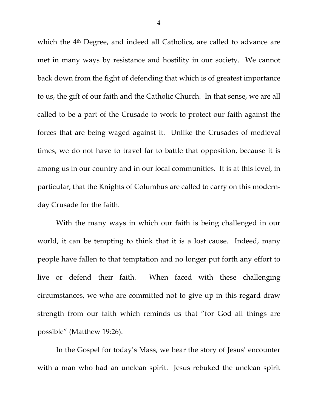which the 4<sup>th</sup> Degree, and indeed all Catholics, are called to advance are met in many ways by resistance and hostility in our society. We cannot back down from the fight of defending that which is of greatest importance to us, the gift of our faith and the Catholic Church. In that sense, we are all called to be a part of the Crusade to work to protect our faith against the forces that are being waged against it. Unlike the Crusades of medieval times, we do not have to travel far to battle that opposition, because it is among us in our country and in our local communities. It is at this level, in particular, that the Knights of Columbus are called to carry on this modernday Crusade for the faith.

With the many ways in which our faith is being challenged in our world, it can be tempting to think that it is a lost cause. Indeed, many people have fallen to that temptation and no longer put forth any effort to live or defend their faith. When faced with these challenging circumstances, we who are committed not to give up in this regard draw strength from our faith which reminds us that "for God all things are possible" (Matthew 19:26).

In the Gospel for today's Mass, we hear the story of Jesus' encounter with a man who had an unclean spirit. Jesus rebuked the unclean spirit

4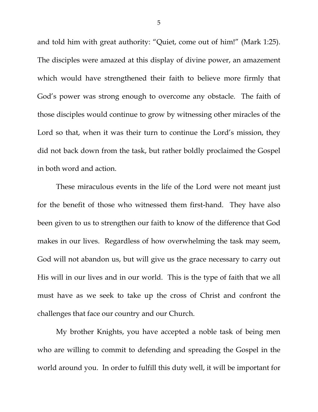and told him with great authority: "Quiet, come out of him!" (Mark 1:25). The disciples were amazed at this display of divine power, an amazement which would have strengthened their faith to believe more firmly that God's power was strong enough to overcome any obstacle. The faith of those disciples would continue to grow by witnessing other miracles of the Lord so that, when it was their turn to continue the Lord's mission, they did not back down from the task, but rather boldly proclaimed the Gospel in both word and action.

These miraculous events in the life of the Lord were not meant just for the benefit of those who witnessed them first-hand. They have also been given to us to strengthen our faith to know of the difference that God makes in our lives. Regardless of how overwhelming the task may seem, God will not abandon us, but will give us the grace necessary to carry out His will in our lives and in our world. This is the type of faith that we all must have as we seek to take up the cross of Christ and confront the challenges that face our country and our Church.

My brother Knights, you have accepted a noble task of being men who are willing to commit to defending and spreading the Gospel in the world around you. In order to fulfill this duty well, it will be important for